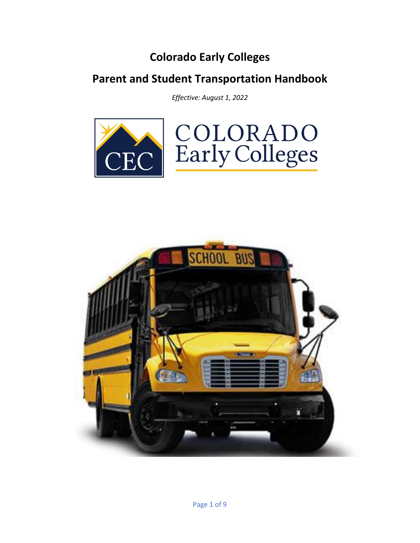# **Colorado Early Colleges**

# **Parent and Student Transportation Handbook**

*Effective: August 1, 2022*



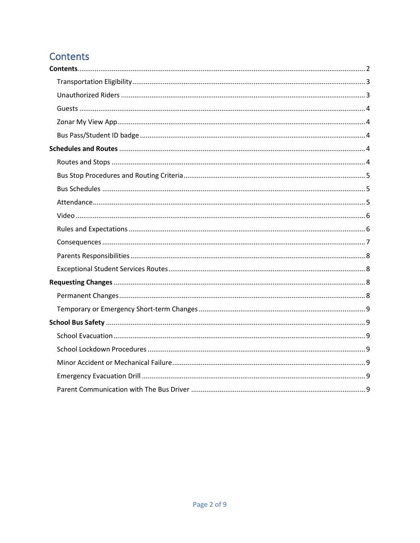# <span id="page-1-0"></span>Contents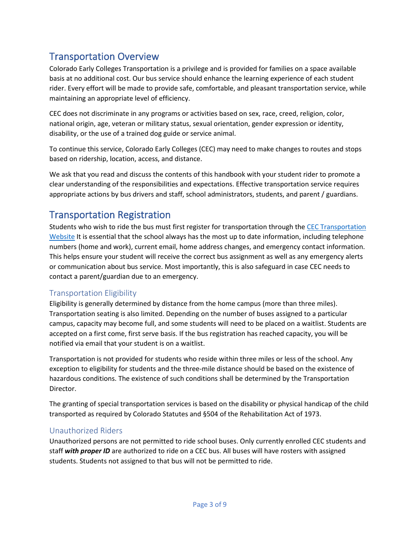# Transportation Overview

Colorado Early Colleges Transportation is a privilege and is provided for families on a space available basis at no additional cost. Our bus service should enhance the learning experience of each student rider. Every effort will be made to provide safe, comfortable, and pleasant transportation service, while maintaining an appropriate level of efficiency.

CEC does not discriminate in any programs or activities based on sex, race, creed, religion, color, national origin, age, veteran or military status, sexual orientation, gender expression or identity, disability, or the use of a trained dog guide or service animal.

To continue this service, Colorado Early Colleges (CEC) may need to make changes to routes and stops based on ridership, location, access, and distance.

We ask that you read and discuss the contents of this handbook with your student rider to promote a clear understanding of the responsibilities and expectations. Effective transportation service requires appropriate actions by bus drivers and staff, school administrators, students, and parent / guardians.

## Transportation Registration

Students who wish to ride the bus must first register for transportation through th[e CEC Transportation](https://coloradoearlycolleges.org/transportation-services/)  [Website](https://coloradoearlycolleges.org/transportation-services/) It is essential that the school always has the most up to date information, including telephone numbers (home and work), current email, home address changes, and emergency contact information. This helps ensure your student will receive the correct bus assignment as well as any emergency alerts or communication about bus service. Most importantly, this is also safeguard in case CEC needs to contact a parent/guardian due to an emergency.

### <span id="page-2-0"></span>Transportation Eligibility

Eligibility is generally determined by distance from the home campus (more than three miles). Transportation seating is also limited. Depending on the number of buses assigned to a particular campus, capacity may become full, and some students will need to be placed on a waitlist. Students are accepted on a first come, first serve basis. If the bus registration has reached capacity, you will be notified via email that your student is on a waitlist.

Transportation is not provided for students who reside within three miles or less of the school. Any exception to eligibility for students and the three-mile distance should be based on the existence of hazardous conditions. The existence of such conditions shall be determined by the Transportation Director.

The granting of special transportation services is based on the disability or physical handicap of the child transported as required by Colorado Statutes and §504 of the Rehabilitation Act of 1973.

#### <span id="page-2-1"></span>Unauthorized Riders

Unauthorized persons are not permitted to ride school buses. Only currently enrolled CEC students and staff *with proper ID* are authorized to ride on a CEC bus. All buses will have rosters with assigned students. Students not assigned to that bus will not be permitted to ride.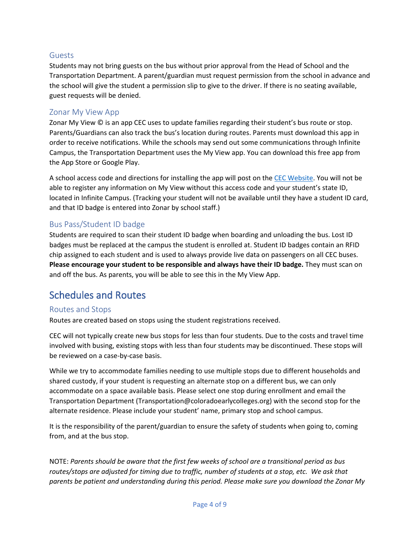#### <span id="page-3-0"></span>Guests

Students may not bring guests on the bus without prior approval from the Head of School and the Transportation Department. A parent/guardian must request permission from the school in advance and the school will give the student a permission slip to give to the driver. If there is no seating available, guest requests will be denied.

#### <span id="page-3-1"></span>Zonar My View App

Zonar My View © is an app CEC uses to update families regarding their student's bus route or stop. Parents/Guardians can also track the bus's location during routes. Parents must download this app in order to receive notifications. While the schools may send out some communications through Infinite Campus, the Transportation Department uses the My View app. You can download this free app from the App Store or Google Play.

A school access code and directions for installing the app will post on the [CEC Website.](https://coloradoearlycolleges.org/transportation-services/) You will not be able to register any information on My View without this access code and your student's state ID, located in Infinite Campus. (Tracking your student will not be available until they have a student ID card, and that ID badge is entered into Zonar by school staff.)

#### <span id="page-3-2"></span>Bus Pass/Student ID badge

Students are required to scan their student ID badge when boarding and unloading the bus. Lost ID badges must be replaced at the campus the student is enrolled at. Student ID badges contain an RFID chip assigned to each student and is used to always provide live data on passengers on all CEC buses. **Please encourage your student to be responsible and always have their ID badge.** They must scan on and off the bus. As parents, you will be able to see this in the My View App.

### <span id="page-3-3"></span>Schedules and Routes

#### <span id="page-3-4"></span>Routes and Stops

Routes are created based on stops using the student registrations received.

CEC will not typically create new bus stops for less than four students. Due to the costs and travel time involved with busing, existing stops with less than four students may be discontinued. These stops will be reviewed on a case-by-case basis.

While we try to accommodate families needing to use multiple stops due to different households and shared custody, if your student is requesting an alternate stop on a different bus, we can only accommodate on a space available basis. Please select one stop during enrollment and email the Transportation Department (Transportation@coloradoearlycolleges.org) with the second stop for the alternate residence. Please include your student' name, primary stop and school campus.

It is the responsibility of the parent/guardian to ensure the safety of students when going to, coming from, and at the bus stop.

NOTE: *Parents should be aware that the first few weeks of school are a transitional period as bus routes/stops are adjusted for timing due to traffic, number of students at a stop, etc. We ask that parents be patient and understanding during this period. Please make sure you download the Zonar My*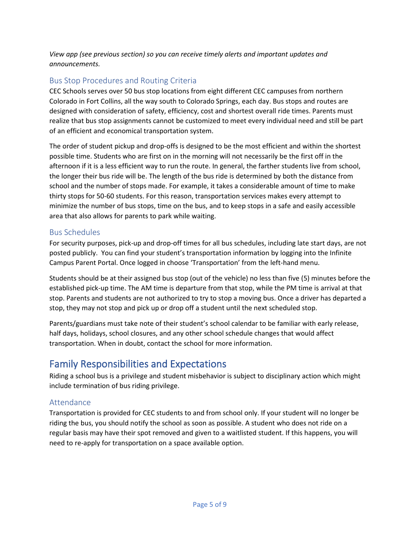*View app (see previous section) so you can receive timely alerts and important updates and announcements.* 

### <span id="page-4-0"></span>Bus Stop Procedures and Routing Criteria

CEC Schools serves over 50 bus stop locations from eight different CEC campuses from northern Colorado in Fort Collins, all the way south to Colorado Springs, each day. Bus stops and routes are designed with consideration of safety, efficiency, cost and shortest overall ride times. Parents must realize that bus stop assignments cannot be customized to meet every individual need and still be part of an efficient and economical transportation system.

The order of student pickup and drop-offs is designed to be the most efficient and within the shortest possible time. Students who are first on in the morning will not necessarily be the first off in the afternoon if it is a less efficient way to run the route. In general, the farther students live from school, the longer their bus ride will be. The length of the bus ride is determined by both the distance from school and the number of stops made. For example, it takes a considerable amount of time to make thirty stops for 50-60 students. For this reason, transportation services makes every attempt to minimize the number of bus stops, time on the bus, and to keep stops in a safe and easily accessible area that also allows for parents to park while waiting.

#### <span id="page-4-1"></span>Bus Schedules

For security purposes, pick-up and drop-off times for all bus schedules, including late start days, are not posted publicly. You can find your student's transportation information by logging into the Infinite Campus Parent Portal. Once logged in choose 'Transportation' from the left-hand menu.

Students should be at their assigned bus stop (out of the vehicle) no less than five (5) minutes before the established pick-up time. The AM time is departure from that stop, while the PM time is arrival at that stop. Parents and students are not authorized to try to stop a moving bus. Once a driver has departed a stop, they may not stop and pick up or drop off a student until the next scheduled stop.

Parents/guardians must take note of their student's school calendar to be familiar with early release, half days, holidays, school closures, and any other school schedule changes that would affect transportation. When in doubt, contact the school for more information.

## Family Responsibilities and Expectations

Riding a school bus is a privilege and student misbehavior is subject to disciplinary action which might include termination of bus riding privilege.

### <span id="page-4-2"></span>Attendance

Transportation is provided for CEC students to and from school only. If your student will no longer be riding the bus, you should notify the school as soon as possible. A student who does not ride on a regular basis may have their spot removed and given to a waitlisted student. If this happens, you will need to re-apply for transportation on a space available option.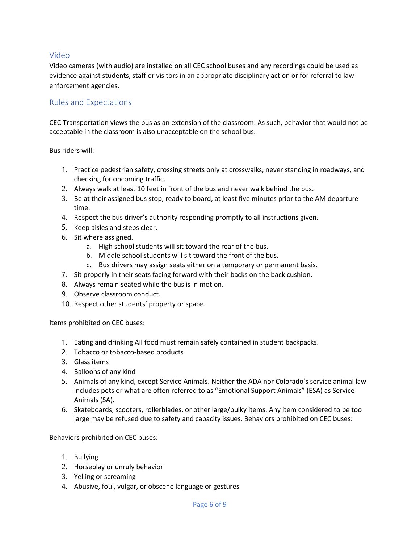#### <span id="page-5-0"></span>Video

Video cameras (with audio) are installed on all CEC school buses and any recordings could be used as evidence against students, staff or visitors in an appropriate disciplinary action or for referral to law enforcement agencies.

#### <span id="page-5-1"></span>Rules and Expectations

CEC Transportation views the bus as an extension of the classroom. As such, behavior that would not be acceptable in the classroom is also unacceptable on the school bus.

Bus riders will:

- 1. Practice pedestrian safety, crossing streets only at crosswalks, never standing in roadways, and checking for oncoming traffic.
- 2. Always walk at least 10 feet in front of the bus and never walk behind the bus.
- 3. Be at their assigned bus stop, ready to board, at least five minutes prior to the AM departure time.
- 4. Respect the bus driver's authority responding promptly to all instructions given.
- 5. Keep aisles and steps clear.
- 6. Sit where assigned.
	- a. High school students will sit toward the rear of the bus.
	- b. Middle school students will sit toward the front of the bus.
	- c. Bus drivers may assign seats either on a temporary or permanent basis.
- 7. Sit properly in their seats facing forward with their backs on the back cushion.
- 8. Always remain seated while the bus is in motion.
- 9. Observe classroom conduct.
- 10. Respect other students' property or space.

Items prohibited on CEC buses:

- 1. Eating and drinking All food must remain safely contained in student backpacks.
- 2. Tobacco or tobacco-based products
- 3. Glass items
- 4. Balloons of any kind
- 5. Animals of any kind, except Service Animals. Neither the ADA nor Colorado's service animal law includes pets or what are often referred to as "Emotional Support Animals" (ESA) as Service Animals (SA).
- 6. Skateboards, scooters, rollerblades, or other large/bulky items. Any item considered to be too large may be refused due to safety and capacity issues. Behaviors prohibited on CEC buses:

Behaviors prohibited on CEC buses:

- 1. Bullying
- 2. Horseplay or unruly behavior
- 3. Yelling or screaming
- 4. Abusive, foul, vulgar, or obscene language or gestures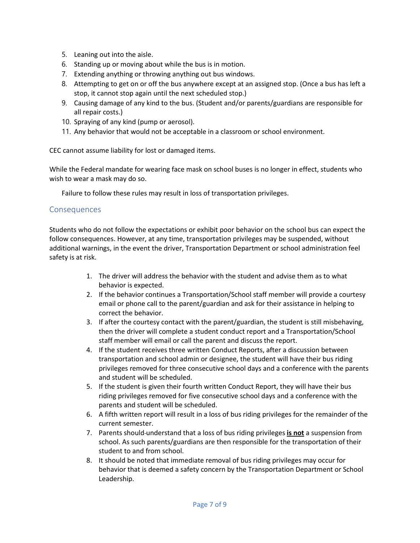- 5. Leaning out into the aisle.
- 6. Standing up or moving about while the bus is in motion.
- 7. Extending anything or throwing anything out bus windows.
- 8. Attempting to get on or off the bus anywhere except at an assigned stop. (Once a bus has left a stop, it cannot stop again until the next scheduled stop.)
- 9. Causing damage of any kind to the bus. (Student and/or parents/guardians are responsible for all repair costs.)
- 10. Spraying of any kind (pump or aerosol).
- 11. Any behavior that would not be acceptable in a classroom or school environment.

CEC cannot assume liability for lost or damaged items.

While the Federal mandate for wearing face mask on school buses is no longer in effect, students who wish to wear a mask may do so.

Failure to follow these rules may result in loss of transportation privileges.

#### <span id="page-6-0"></span>**Consequences**

Students who do not follow the expectations or exhibit poor behavior on the school bus can expect the follow consequences. However, at any time, transportation privileges may be suspended, without additional warnings, in the event the driver, Transportation Department or school administration feel safety is at risk.

- 1. The driver will address the behavior with the student and advise them as to what behavior is expected.
- 2. If the behavior continues a Transportation/School staff member will provide a courtesy email or phone call to the parent/guardian and ask for their assistance in helping to correct the behavior.
- 3. If after the courtesy contact with the parent/guardian, the student is still misbehaving, then the driver will complete a student conduct report and a Transportation/School staff member will email or call the parent and discuss the report.
- 4. If the student receives three written Conduct Reports, after a discussion between transportation and school admin or designee, the student will have their bus riding privileges removed for three consecutive school days and a conference with the parents and student will be scheduled.
- 5. If the student is given their fourth written Conduct Report, they will have their bus riding privileges removed for five consecutive school days and a conference with the parents and student will be scheduled.
- 6. A fifth written report will result in a loss of bus riding privileges for the remainder of the current semester.
- 7. Parents should understand that a loss of bus riding privileges **is not** a suspension from school. As such parents/guardians are then responsible for the transportation of their student to and from school.
- 8. It should be noted that immediate removal of bus riding privileges may occur for behavior that is deemed a safety concern by the Transportation Department or School Leadership.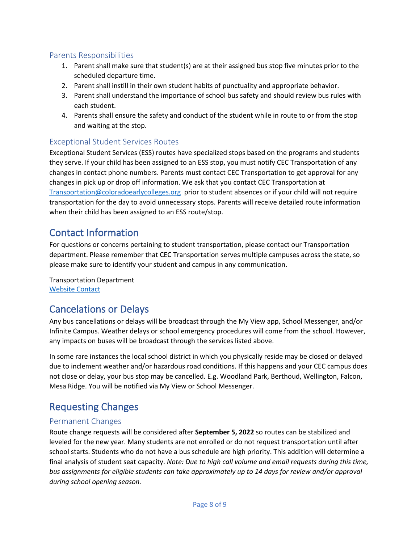#### <span id="page-7-0"></span>Parents Responsibilities

- 1. Parent shall make sure that student(s) are at their assigned bus stop five minutes prior to the scheduled departure time.
- 2. Parent shall instill in their own student habits of punctuality and appropriate behavior.
- 3. Parent shall understand the importance of school bus safety and should review bus rules with each student.
- 4. Parents shall ensure the safety and conduct of the student while in route to or from the stop and waiting at the stop.

### <span id="page-7-1"></span>Exceptional Student Services Routes

Exceptional Student Services (ESS) routes have specialized stops based on the programs and students they serve. If your child has been assigned to an ESS stop, you must notify CEC Transportation of any changes in contact phone numbers. Parents must contact CEC Transportation to get approval for any changes in pick up or drop off information. We ask that you contact CEC Transportation at [Transportation@coloradoearlycolleges.org](mailto:Transportation@coloradoearlycolleges.org) prior to student absences or if your child will not require transportation for the day to avoid unnecessary stops. Parents will receive detailed route information when their child has been assigned to an ESS route/stop.

## Contact Information

For questions or concerns pertaining to student transportation, please contact our Transportation department. Please remember that CEC Transportation serves multiple campuses across the state, so please make sure to identify your student and campus in any communication.

Transportation Department [Website Contact](https://forms.office.com/r/bjtEfGaQ0z)

# Cancelations or Delays

Any bus cancellations or delays will be broadcast through the My View app, School Messenger, and/or Infinite Campus. Weather delays or school emergency procedures will come from the school. However, any impacts on buses will be broadcast through the services listed above.

In some rare instances the local school district in which you physically reside may be closed or delayed due to inclement weather and/or hazardous road conditions. If this happens and your CEC campus does not close or delay, your bus stop may be cancelled. E.g. Woodland Park, Berthoud, Wellington, Falcon, Mesa Ridge. You will be notified via My View or School Messenger.

# <span id="page-7-2"></span>Requesting Changes

#### <span id="page-7-3"></span>Permanent Changes

Route change requests will be considered after **September 5, 2022** so routes can be stabilized and leveled for the new year. Many students are not enrolled or do not request transportation until after school starts. Students who do not have a bus schedule are high priority. This addition will determine a final analysis of student seat capacity. *Note: Due to high call volume and email requests during this time, bus assignments for eligible students can take approximately up to 14 days for review and/or approval during school opening season.*